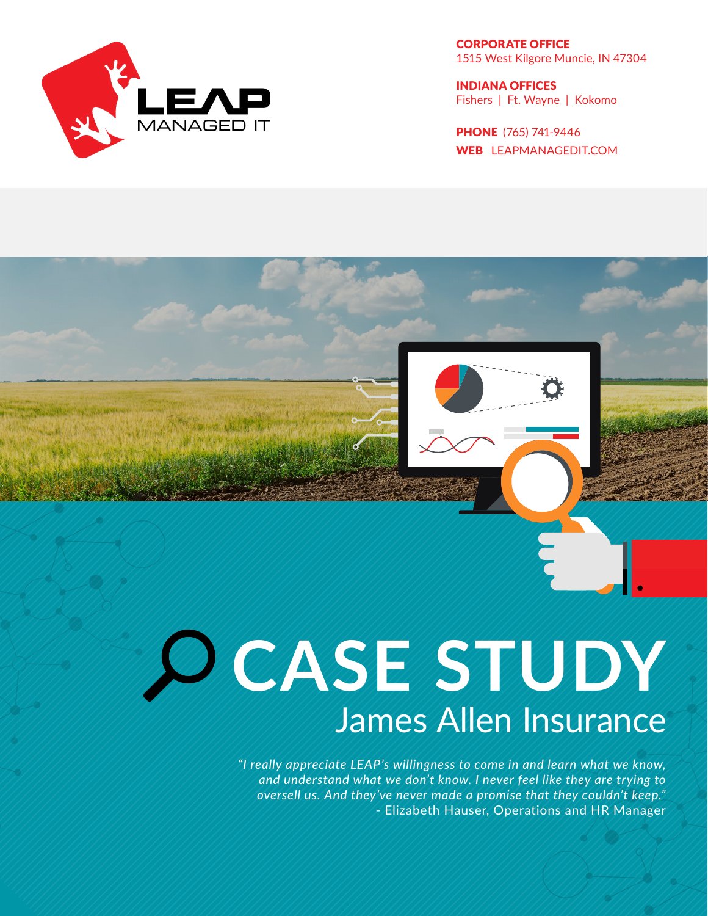

CORPORATE OFFICE 1515 West Kilgore Muncie, IN 47304

INDIANA OFFICES Fishers | Ft. Wayne | Kokomo

PHONE (765) 741-9446 WEB LEAPMANAGEDIT.COM

# **CASE STUDY** James Allen Insurance

*"I really appreciate LEAP's willingness to come in and learn what we know, and understand what we don't know. I never feel like they are trying to oversell us. And they've never made a promise that they couldn't keep."* - Elizabeth Hauser, Operations and HR Manager